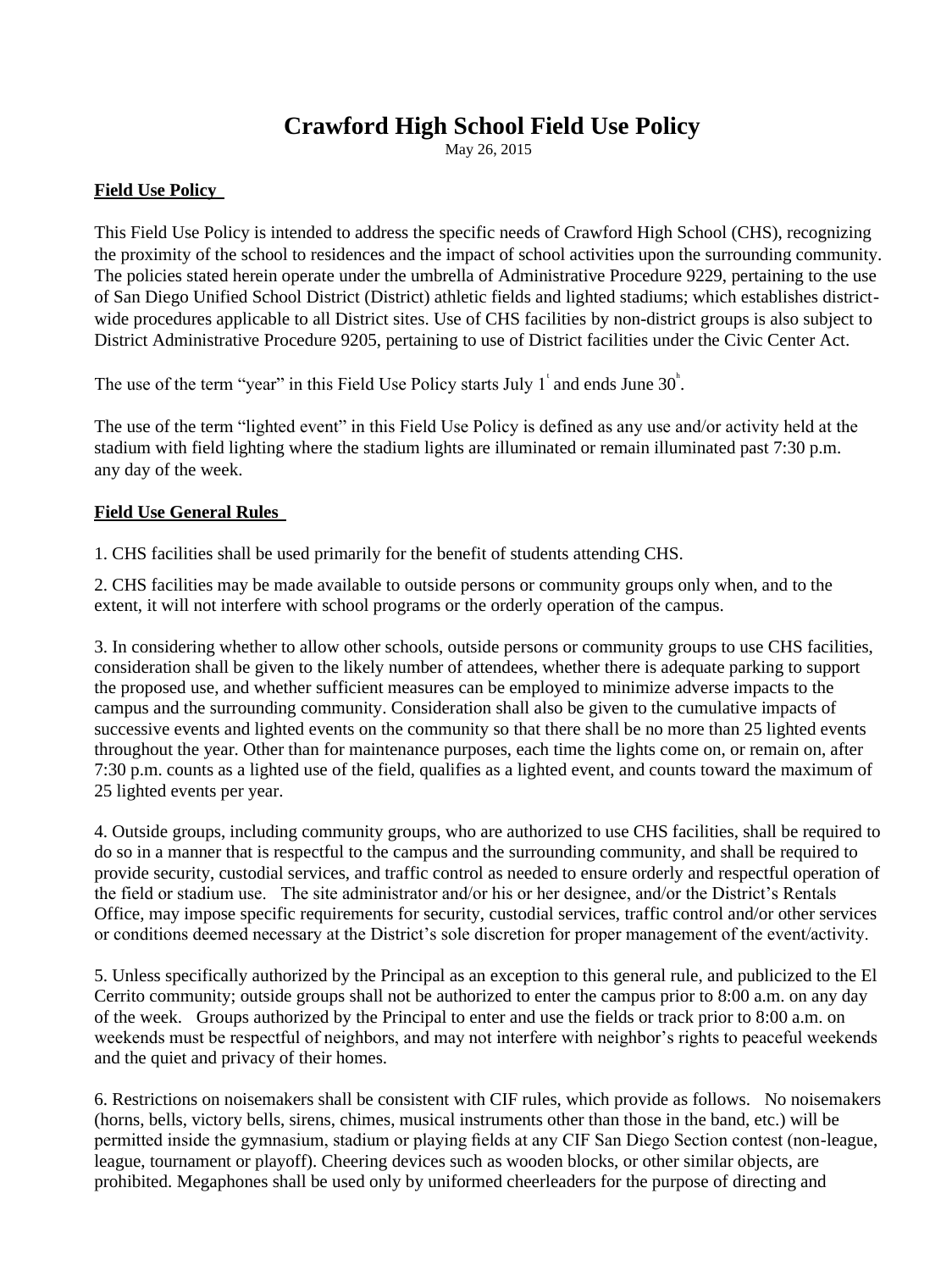# **Crawford High School Field Use Policy**

May 26, 2015

# **Field Use Policy**

This Field Use Policy is intended to address the specific needs of Crawford High School (CHS), recognizing the proximity of the school to residences and the impact of school activities upon the surrounding community. The policies stated herein operate under the umbrella of Administrative Procedure 9229, pertaining to the use of San Diego Unified School District (District) athletic fields and lighted stadiums; which establishes districtwide procedures applicable to all District sites. Use of CHS facilities by non-district groups is also subject to District Administrative Procedure 9205, pertaining to use of District facilities under the Civic Center Act.

The use of the term "year" in this Field Use Policy starts July  $1'$  and ends June  $30^{\circ}$ .

The use of the term "lighted event" in this Field Use Policy is defined as any use and/or activity held at the stadium with field lighting where the stadium lights are illuminated or remain illuminated past 7:30 p.m. any day of the week.

# **Field Use General Rules**

1. CHS facilities shall be used primarily for the benefit of students attending CHS.

2. CHS facilities may be made available to outside persons or community groups only when, and to the extent, it will not interfere with school programs or the orderly operation of the campus.

3. In considering whether to allow other schools, outside persons or community groups to use CHS facilities, consideration shall be given to the likely number of attendees, whether there is adequate parking to support the proposed use, and whether sufficient measures can be employed to minimize adverse impacts to the campus and the surrounding community. Consideration shall also be given to the cumulative impacts of successive events and lighted events on the community so that there shall be no more than 25 lighted events throughout the year. Other than for maintenance purposes, each time the lights come on, or remain on, after 7:30 p.m. counts as a lighted use of the field, qualifies as a lighted event, and counts toward the maximum of 25 lighted events per year.

4. Outside groups, including community groups, who are authorized to use CHS facilities, shall be required to do so in a manner that is respectful to the campus and the surrounding community, and shall be required to provide security, custodial services, and traffic control as needed to ensure orderly and respectful operation of the field or stadium use. The site administrator and/or his or her designee, and/or the District's Rentals Office, may impose specific requirements for security, custodial services, traffic control and/or other services or conditions deemed necessary at the District's sole discretion for proper management of the event/activity.

5. Unless specifically authorized by the Principal as an exception to this general rule, and publicized to the El Cerrito community; outside groups shall not be authorized to enter the campus prior to 8:00 a.m. on any day of the week. Groups authorized by the Principal to enter and use the fields or track prior to 8:00 a.m. on weekends must be respectful of neighbors, and may not interfere with neighbor's rights to peaceful weekends and the quiet and privacy of their homes.

6. Restrictions on noisemakers shall be consistent with CIF rules, which provide as follows. No noisemakers (horns, bells, victory bells, sirens, chimes, musical instruments other than those in the band, etc.) will be permitted inside the gymnasium, stadium or playing fields at any CIF San Diego Section contest (non-league, league, tournament or playoff). Cheering devices such as wooden blocks, or other similar objects, are prohibited. Megaphones shall be used only by uniformed cheerleaders for the purpose of directing and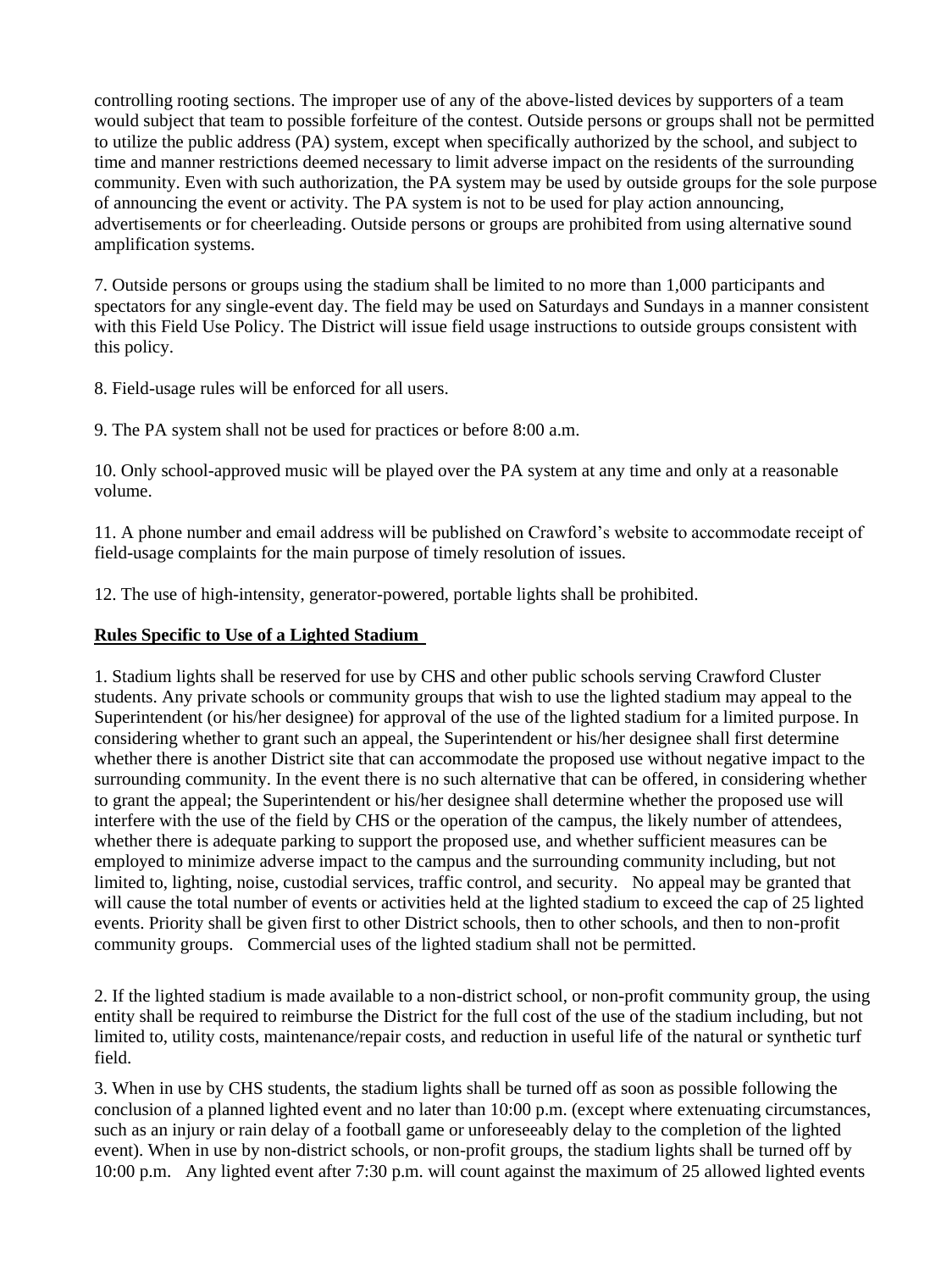controlling rooting sections. The improper use of any of the above-listed devices by supporters of a team would subject that team to possible forfeiture of the contest. Outside persons or groups shall not be permitted to utilize the public address (PA) system, except when specifically authorized by the school, and subject to time and manner restrictions deemed necessary to limit adverse impact on the residents of the surrounding community. Even with such authorization, the PA system may be used by outside groups for the sole purpose of announcing the event or activity. The PA system is not to be used for play action announcing, advertisements or for cheerleading. Outside persons or groups are prohibited from using alternative sound amplification systems.

7. Outside persons or groups using the stadium shall be limited to no more than 1,000 participants and spectators for any single-event day. The field may be used on Saturdays and Sundays in a manner consistent with this Field Use Policy. The District will issue field usage instructions to outside groups consistent with this policy.

8. Field-usage rules will be enforced for all users.

9. The PA system shall not be used for practices or before 8:00 a.m.

10. Only school-approved music will be played over the PA system at any time and only at a reasonable volume.

11. A phone number and email address will be published on Crawford's website to accommodate receipt of field-usage complaints for the main purpose of timely resolution of issues.

12. The use of high-intensity, generator-powered, portable lights shall be prohibited.

# **Rules Specific to Use of a Lighted Stadium**

1. Stadium lights shall be reserved for use by CHS and other public schools serving Crawford Cluster students. Any private schools or community groups that wish to use the lighted stadium may appeal to the Superintendent (or his/her designee) for approval of the use of the lighted stadium for a limited purpose. In considering whether to grant such an appeal, the Superintendent or his/her designee shall first determine whether there is another District site that can accommodate the proposed use without negative impact to the surrounding community. In the event there is no such alternative that can be offered, in considering whether to grant the appeal; the Superintendent or his/her designee shall determine whether the proposed use will interfere with the use of the field by CHS or the operation of the campus, the likely number of attendees, whether there is adequate parking to support the proposed use, and whether sufficient measures can be employed to minimize adverse impact to the campus and the surrounding community including, but not limited to, lighting, noise, custodial services, traffic control, and security. No appeal may be granted that will cause the total number of events or activities held at the lighted stadium to exceed the cap of 25 lighted events. Priority shall be given first to other District schools, then to other schools, and then to non-profit community groups. Commercial uses of the lighted stadium shall not be permitted.

2. If the lighted stadium is made available to a non-district school, or non-profit community group, the using entity shall be required to reimburse the District for the full cost of the use of the stadium including, but not limited to, utility costs, maintenance/repair costs, and reduction in useful life of the natural or synthetic turf field.

3. When in use by CHS students, the stadium lights shall be turned off as soon as possible following the conclusion of a planned lighted event and no later than 10:00 p.m. (except where extenuating circumstances, such as an injury or rain delay of a football game or unforeseeably delay to the completion of the lighted event). When in use by non-district schools, or non-profit groups, the stadium lights shall be turned off by 10:00 p.m. Any lighted event after 7:30 p.m. will count against the maximum of 25 allowed lighted events